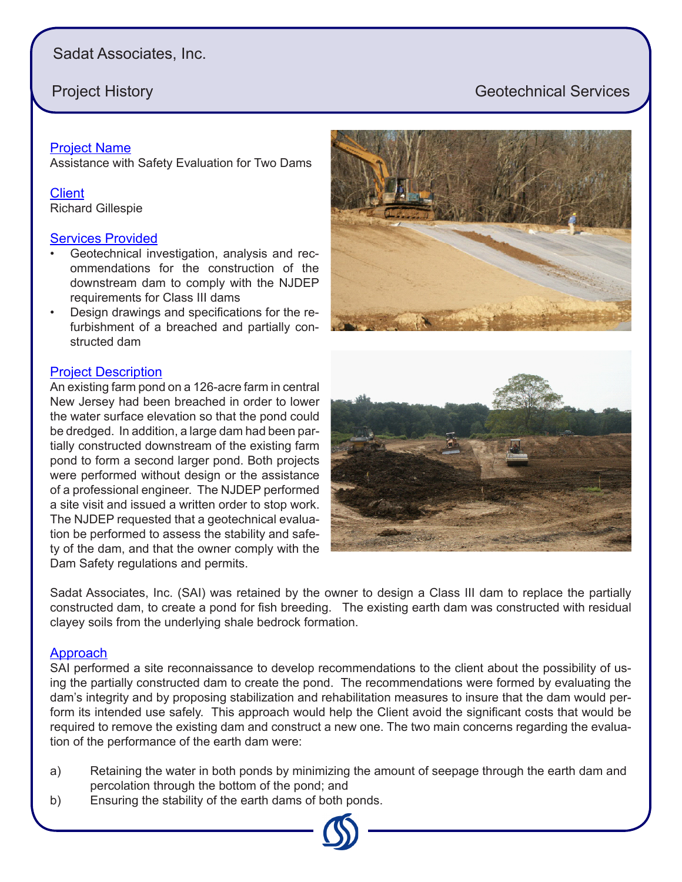# Sadat Associates, Inc.

# **Project History Geotechnical Services**

### Project Name

Assistance with Safety Evaluation for Two Dams

## **Client**

Richard Gillespie

### Services Provided

- Geotechnical investigation, analysis and recommendations for the construction of the downstream dam to comply with the NJDEP requirements for Class III dams
- Design drawings and specifications for the refurbishment of a breached and partially constructed dam

### Project Description

An existing farm pond on a 126-acre farm in central New Jersey had been breached in order to lower the water surface elevation so that the pond could be dredged. In addition, a large dam had been partially constructed downstream of the existing farm pond to form a second larger pond. Both projects were performed without design or the assistance of a professional engineer. The NJDEP performed a site visit and issued a written order to stop work. The NJDEP requested that a geotechnical evaluation be performed to assess the stability and safety of the dam, and that the owner comply with the Dam Safety regulations and permits.



Sadat Associates, Inc. (SAI) was retained by the owner to design a Class III dam to replace the partially constructed dam, to create a pond for fish breeding. The existing earth dam was constructed with residual

### Approach

SAI performed a site reconnaissance to develop recommendations to the client about the possibility of using the partially constructed dam to create the pond. The recommendations were formed by evaluating the dam's integrity and by proposing stabilization and rehabilitation measures to insure that the dam would perform its intended use safely. This approach would help the Client avoid the significant costs that would be required to remove the existing dam and construct a new one. The two main concerns regarding the evaluation of the performance of the earth dam were:

- a) Retaining the water in both ponds by minimizing the amount of seepage through the earth dam and percolation through the bottom of the pond; and
- b) Ensuring the stability of the earth dams of both ponds.

clayey soils from the underlying shale bedrock formation.

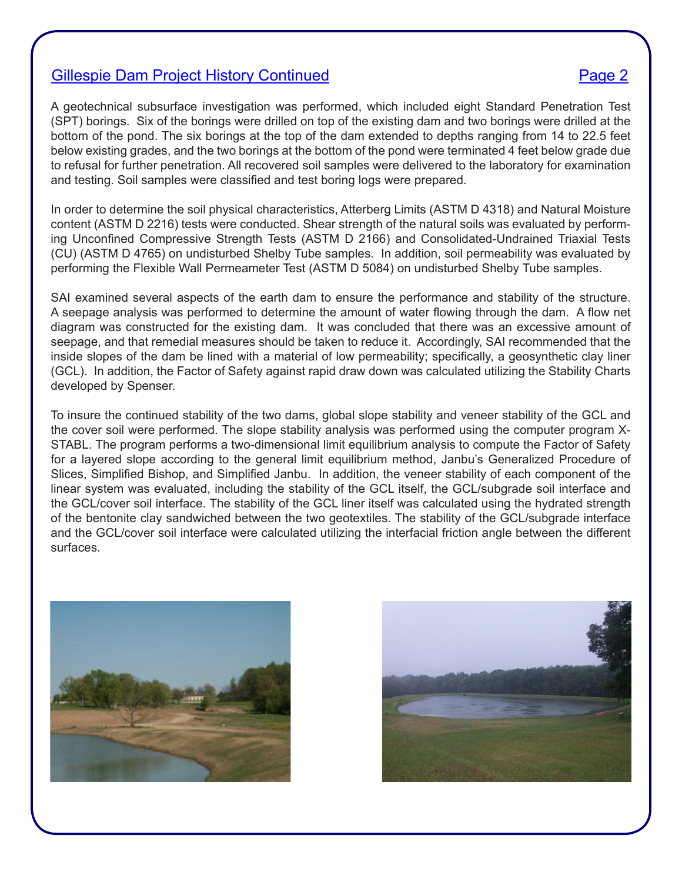## Gillespie Dam Project History Continued **Page 2** Page 2

A geotechnical subsurface investigation was performed, which included eight Standard Penetration Test (SPT) borings. Six of the borings were drilled on top of the existing dam and two borings were drilled at the bottom of the pond. The six borings at the top of the dam extended to depths ranging from 14 to 22.5 feet below existing grades, and the two borings at the bottom of the pond were terminated 4 feet below grade due to refusal for further penetration. All recovered soil samples were delivered to the laboratory for examination and testing. Soil samples were classified and test boring logs were prepared.

In order to determine the soil physical characteristics, Atterberg Limits (ASTM D 4318) and Natural Moisture content (ASTM D 2216) tests were conducted. Shear strength of the natural soils was evaluated by performing Unconfined Compressive Strength Tests (ASTM D 2166) and Consolidated-Undrained Triaxial Tests (CU) (ASTM D 4765) on undisturbed Shelby Tube samples. In addition, soil permeability was evaluated by performing the Flexible Wall Permeameter Test (ASTM D 5084) on undisturbed Shelby Tube samples.

SAI examined several aspects of the earth dam to ensure the performance and stability of the structure. A seepage analysis was performed to determine the amount of water flowing through the dam. A flow net diagram was constructed for the existing dam. It was concluded that there was an excessive amount of seepage, and that remedial measures should be taken to reduce it. Accordingly, SAI recommended that the inside slopes of the dam be lined with a material of low permeability; specifically, a geosynthetic clay liner (GCL). In addition, the Factor of Safety against rapid draw down was calculated utilizing the Stability Charts developed by Spenser.

To insure the continued stability of the two dams, global slope stability and veneer stability of the GCL and the cover soil were performed. The slope stability analysis was performed using the computer program X-STABL. The program performs a two-dimensional limit equilibrium analysis to compute the Factor of Safety for a layered slope according to the general limit equilibrium method, Janbu's Generalized Procedure of Slices, Simplified Bishop, and Simplified Janbu. In addition, the veneer stability of each component of the linear system was evaluated, including the stability of the GCL itself, the GCL/subgrade soil interface and the GCL/cover soil interface. The stability of the GCL liner itself was calculated using the hydrated strength of the bentonite clay sandwiched between the two geotextiles. The stability of the GCL/subgrade interface and the GCL/cover soil interface were calculated utilizing the interfacial friction angle between the different surfaces.